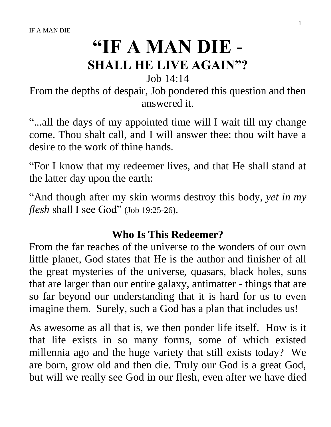# **"IF A MAN DIE - SHALL HE LIVE AGAIN"?**

Job 14:14

From the depths of despair, Job pondered this question and then answered it.

"...all the days of my appointed time will I wait till my change come. Thou shalt call, and I will answer thee: thou wilt have a desire to the work of thine hands.

"For I know that my redeemer lives, and that He shall stand at the latter day upon the earth:

"And though after my skin worms destroy this body, *yet in my flesh* shall I see God" (Job 19:25-26).

# **Who Is This Redeemer?**

From the far reaches of the universe to the wonders of our own little planet, God states that He is the author and finisher of all the great mysteries of the universe, quasars, black holes, suns that are larger than our entire galaxy, antimatter - things that are so far beyond our understanding that it is hard for us to even imagine them. Surely, such a God has a plan that includes us!

As awesome as all that is, we then ponder life itself. How is it that life exists in so many forms, some of which existed millennia ago and the huge variety that still exists today? We are born, grow old and then die. Truly our God is a great God, but will we really see God in our flesh, even after we have died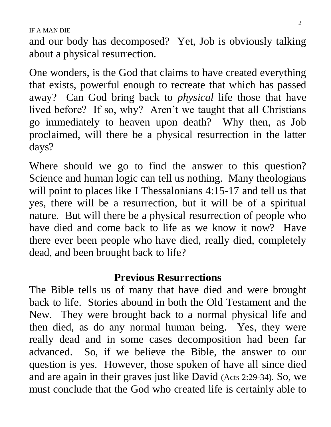and our body has decomposed? Yet, Job is obviously talking about a physical resurrection.

One wonders, is the God that claims to have created everything that exists, powerful enough to recreate that which has passed away? Can God bring back to *physical* life those that have lived before? If so, why? Aren't we taught that all Christians go immediately to heaven upon death? Why then, as Job proclaimed, will there be a physical resurrection in the latter days?

Where should we go to find the answer to this question? Science and human logic can tell us nothing. Many theologians will point to places like I Thessalonians 4:15-17 and tell us that yes, there will be a resurrection, but it will be of a spiritual nature. But will there be a physical resurrection of people who have died and come back to life as we know it now? Have there ever been people who have died, really died, completely dead, and been brought back to life?

### **Previous Resurrections**

The Bible tells us of many that have died and were brought back to life. Stories abound in both the Old Testament and the New. They were brought back to a normal physical life and then died, as do any normal human being. Yes, they were really dead and in some cases decomposition had been far advanced. So, if we believe the Bible, the answer to our question is yes. However, those spoken of have all since died and are again in their graves just like David (Acts 2:29-34). So, we must conclude that the God who created life is certainly able to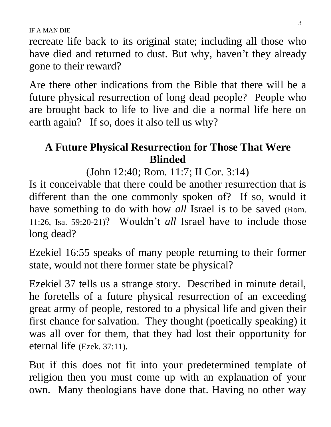recreate life back to its original state; including all those who have died and returned to dust. But why, haven't they already gone to their reward?

Are there other indications from the Bible that there will be a future physical resurrection of long dead people? People who are brought back to life to live and die a normal life here on earth again? If so, does it also tell us why?

# **A Future Physical Resurrection for Those That Were Blinded**

(John 12:40; Rom. 11:7; II Cor. 3:14)

Is it conceivable that there could be another resurrection that is different than the one commonly spoken of? If so, would it have something to do with how *all* Israel is to be saved (Rom. 11:26, Isa. 59:20-21)? Wouldn't *all* Israel have to include those long dead?

Ezekiel 16:55 speaks of many people returning to their former state, would not there former state be physical?

Ezekiel 37 tells us a strange story. Described in minute detail, he foretells of a future physical resurrection of an exceeding great army of people, restored to a physical life and given their first chance for salvation. They thought (poetically speaking) it was all over for them, that they had lost their opportunity for eternal life (Ezek. 37:11).

But if this does not fit into your predetermined template of religion then you must come up with an explanation of your own. Many theologians have done that. Having no other way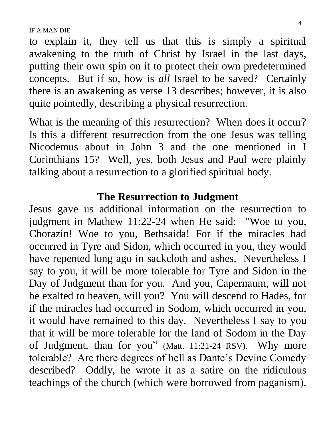to explain it, they tell us that this is simply a spiritual awakening to the truth of Christ by Israel in the last days, putting their own spin on it to protect their own predetermined concepts. But if so, how is *all* Israel to be saved? Certainly there is an awakening as verse 13 describes; however, it is also quite pointedly, describing a physical resurrection.

What is the meaning of this resurrection? When does it occur? Is this a different resurrection from the one Jesus was telling Nicodemus about in John 3 and the one mentioned in I Corinthians 15? Well, yes, both Jesus and Paul were plainly talking about a resurrection to a glorified spiritual body.

#### **The Resurrection to Judgment**

Jesus gave us additional information on the resurrection to judgment in Mathew 11:22-24 when He said: "Woe to you, Chorazin! Woe to you, Bethsaida! For if the miracles had occurred in Tyre and Sidon, which occurred in you, they would have repented long ago in sackcloth and ashes. Nevertheless I say to you, it will be more tolerable for Tyre and Sidon in the Day of Judgment than for you. And you, Capernaum, will not be exalted to heaven, will you? You will descend to Hades, for if the miracles had occurred in Sodom, which occurred in you, it would have remained to this day. Nevertheless I say to you that it will be more tolerable for the land of Sodom in the Day of Judgment, than for you" (Matt. 11:21-24 RSV). Why more tolerable? Are there degrees of hell as Dante's Devine Comedy described? Oddly, he wrote it as a satire on the ridiculous teachings of the church (which were borrowed from paganism).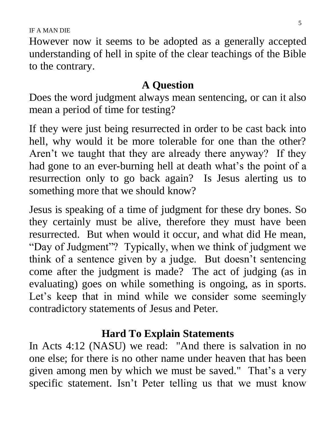However now it seems to be adopted as a generally accepted understanding of hell in spite of the clear teachings of the Bible to the contrary.

### **A Question**

Does the word judgment always mean sentencing, or can it also mean a period of time for testing?

If they were just being resurrected in order to be cast back into hell, why would it be more tolerable for one than the other? Aren't we taught that they are already there anyway? If they had gone to an ever-burning hell at death what's the point of a resurrection only to go back again? Is Jesus alerting us to something more that we should know?

Jesus is speaking of a time of judgment for these dry bones. So they certainly must be alive, therefore they must have been resurrected. But when would it occur, and what did He mean, "Day of Judgment"? Typically, when we think of judgment we think of a sentence given by a judge. But doesn't sentencing come after the judgment is made? The act of judging (as in evaluating) goes on while something is ongoing, as in sports. Let's keep that in mind while we consider some seemingly contradictory statements of Jesus and Peter.

# **Hard To Explain Statements**

In Acts 4:12 (NASU) we read: "And there is salvation in no one else; for there is no other name under heaven that has been given among men by which we must be saved." That's a very specific statement. Isn't Peter telling us that we must know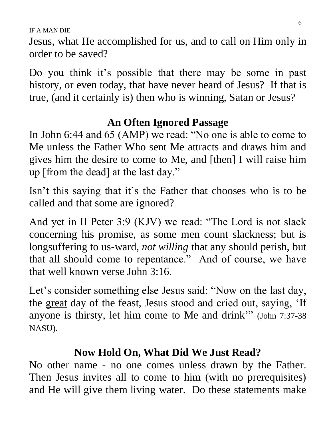Jesus, what He accomplished for us, and to call on Him only in order to be saved?

Do you think it's possible that there may be some in past history, or even today, that have never heard of Jesus? If that is true, (and it certainly is) then who is winning, Satan or Jesus?

# **An Often Ignored Passage**

In John 6:44 and 65 (AMP) we read: "No one is able to come to Me unless the Father Who sent Me attracts and draws him and gives him the desire to come to Me, and [then] I will raise him up [from the dead] at the last day."

Isn't this saying that it's the Father that chooses who is to be called and that some are ignored?

And yet in II Peter 3:9 (KJV) we read: "The Lord is not slack concerning his promise, as some men count slackness; but is longsuffering to us-ward, *not willing* that any should perish, but that all should come to repentance." And of course, we have that well known verse John 3:16.

Let's consider something else Jesus said: "Now on the last day, the great day of the feast, Jesus stood and cried out, saying, 'If anyone is thirsty, let him come to Me and drink'" (John 7:37-38 NASU).

# **Now Hold On, What Did We Just Read?**

No other name - no one comes unless drawn by the Father. Then Jesus invites all to come to him (with no prerequisites) and He will give them living water. Do these statements make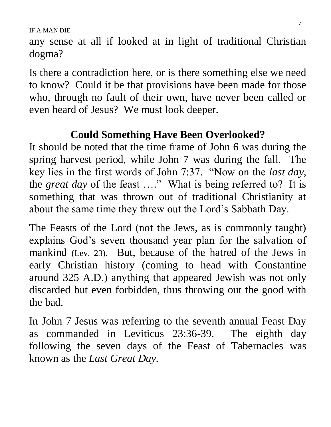any sense at all if looked at in light of traditional Christian dogma?

Is there a contradiction here, or is there something else we need to know? Could it be that provisions have been made for those who, through no fault of their own, have never been called or even heard of Jesus? We must look deeper.

# **Could Something Have Been Overlooked?**

It should be noted that the time frame of John 6 was during the spring harvest period, while John 7 was during the fall. The key lies in the first words of John 7:37. "Now on the *last day*, the *great day* of the feast …." What is being referred to? It is something that was thrown out of traditional Christianity at about the same time they threw out the Lord's Sabbath Day.

The Feasts of the Lord (not the Jews, as is commonly taught) explains God's seven thousand year plan for the salvation of mankind (Lev. 23). But, because of the hatred of the Jews in early Christian history (coming to head with Constantine around 325 A.D.) anything that appeared Jewish was not only discarded but even forbidden, thus throwing out the good with the bad.

In John 7 Jesus was referring to the seventh annual Feast Day as commanded in Leviticus 23:36-39. The eighth day following the seven days of the Feast of Tabernacles was known as the *Last Great Day.*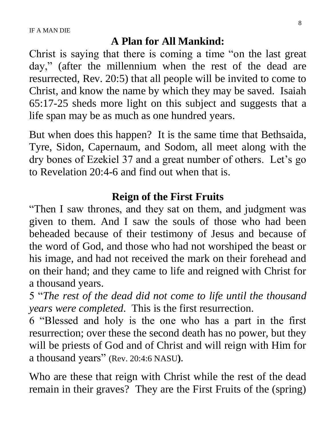#### **A Plan for All Mankind:**

Christ is saying that there is coming a time "on the last great day," (after the millennium when the rest of the dead are resurrected, Rev. 20:5) that all people will be invited to come to Christ, and know the name by which they may be saved. Isaiah 65:17-25 sheds more light on this subject and suggests that a life span may be as much as one hundred years.

But when does this happen? It is the same time that Bethsaida, Tyre, Sidon, Capernaum, and Sodom, all meet along with the dry bones of Ezekiel 37 and a great number of others. Let's go to Revelation 20:4-6 and find out when that is.

#### **Reign of the First Fruits**

"Then I saw thrones, and they sat on them, and judgment was given to them. And I saw the souls of those who had been beheaded because of their testimony of Jesus and because of the word of God, and those who had not worshiped the beast or his image, and had not received the mark on their forehead and on their hand; and they came to life and reigned with Christ for a thousand years.

5 "*The rest of the dead did not come to life until the thousand years were completed*. This is the first resurrection.

6 "Blessed and holy is the one who has a part in the first resurrection; over these the second death has no power, but they will be priests of God and of Christ and will reign with Him for a thousand years" (Rev. 20:4:6 NASU**)**.

Who are these that reign with Christ while the rest of the dead remain in their graves? They are the First Fruits of the (spring)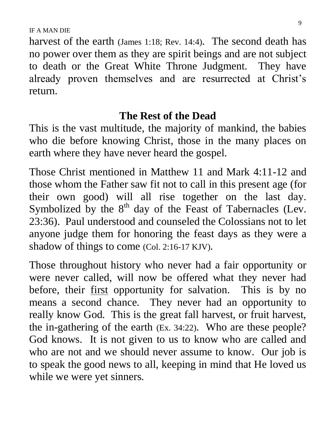harvest of the earth (James 1:18; Rev. 14:4). The second death has no power over them as they are spirit beings and are not subject to death or the Great White Throne Judgment. They have already proven themselves and are resurrected at Christ's return.

#### **The Rest of the Dead**

This is the vast multitude, the majority of mankind, the babies who die before knowing Christ, those in the many places on earth where they have never heard the gospel.

Those Christ mentioned in Matthew 11 and Mark 4:11-12 and those whom the Father saw fit not to call in this present age (for their own good) will all rise together on the last day. Symbolized by the  $8<sup>th</sup>$  day of the Feast of Tabernacles (Lev. 23:36). Paul understood and counseled the Colossians not to let anyone judge them for honoring the feast days as they were a shadow of things to come (Col. 2:16-17 KJV).

Those throughout history who never had a fair opportunity or were never called, will now be offered what they never had before, their first opportunity for salvation. This is by no means a second chance. They never had an opportunity to really know God. This is the great fall harvest, or fruit harvest, the in-gathering of the earth (Ex. 34:22). Who are these people? God knows. It is not given to us to know who are called and who are not and we should never assume to know. Our job is to speak the good news to all, keeping in mind that He loved us while we were yet sinners.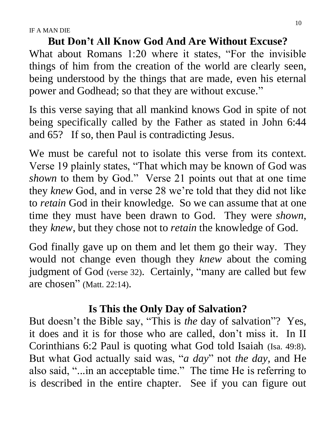**But Don't All Know God And Are Without Excuse?** What about Romans 1:20 where it states, "For the invisible things of him from the creation of the world are clearly seen, being understood by the things that are made, even his eternal power and Godhead; so that they are without excuse."

Is this verse saying that all mankind knows God in spite of not being specifically called by the Father as stated in John 6:44 and 65? If so, then Paul is contradicting Jesus.

We must be careful not to isolate this verse from its context. Verse 19 plainly states, "That which may be known of God was *shown* to them by God." Verse 21 points out that at one time they *knew* God, and in verse 28 we're told that they did not like to *retain* God in their knowledge. So we can assume that at one time they must have been drawn to God. They were *shown*, they *knew*, but they chose not to *retain* the knowledge of God.

God finally gave up on them and let them go their way. They would not change even though they *knew* about the coming judgment of God (verse 32). Certainly, "many are called but few are chosen" (Matt. 22:14).

# **Is This the Only Day of Salvation?**

But doesn't the Bible say, "This is *the* day of salvation"? Yes, it does and it is for those who are called, don't miss it. In II Corinthians 6:2 Paul is quoting what God told Isaiah (Isa. 49:8). But what God actually said was, "*a day*" not *the day,* and He also said, "...in an acceptable time." The time He is referring to is described in the entire chapter. See if you can figure out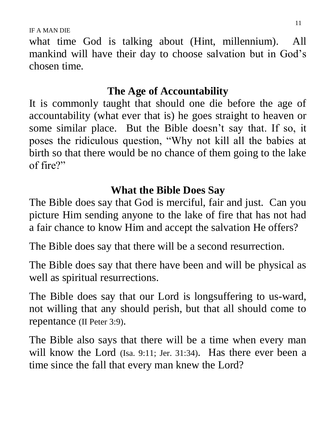what time God is talking about (Hint, millennium). All mankind will have their day to choose salvation but in God's chosen time.

#### **The Age of Accountability**

It is commonly taught that should one die before the age of accountability (what ever that is) he goes straight to heaven or some similar place. But the Bible doesn't say that. If so, it poses the ridiculous question, "Why not kill all the babies at birth so that there would be no chance of them going to the lake of fire?"

### **What the Bible Does Say**

The Bible does say that God is merciful, fair and just. Can you picture Him sending anyone to the lake of fire that has not had a fair chance to know Him and accept the salvation He offers?

The Bible does say that there will be a second resurrection.

The Bible does say that there have been and will be physical as well as spiritual resurrections.

The Bible does say that our Lord is longsuffering to us-ward, not willing that any should perish, but that all should come to repentance (II Peter 3:9).

The Bible also says that there will be a time when every man will know the Lord (Isa. 9:11; Jer. 31:34). Has there ever been a time since the fall that every man knew the Lord?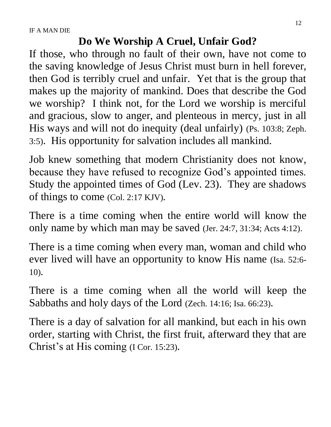#### **Do We Worship A Cruel, Unfair God?**

If those, who through no fault of their own, have not come to the saving knowledge of Jesus Christ must burn in hell forever, then God is terribly cruel and unfair. Yet that is the group that makes up the majority of mankind. Does that describe the God we worship? I think not, for the Lord we worship is merciful and gracious, slow to anger, and plenteous in mercy, just in all His ways and will not do inequity (deal unfairly) (Ps. 103:8; Zeph. 3:5). His opportunity for salvation includes all mankind.

Job knew something that modern Christianity does not know, because they have refused to recognize God's appointed times. Study the appointed times of God (Lev. 23). They are shadows of things to come (Col. 2:17 KJV).

There is a time coming when the entire world will know the only name by which man may be saved (Jer. 24:7, 31:34; Acts 4:12).

There is a time coming when every man, woman and child who ever lived will have an opportunity to know His name (Isa. 52:6- 10).

There is a time coming when all the world will keep the Sabbaths and holy days of the Lord (Zech. 14:16; Isa. 66:23).

There is a day of salvation for all mankind, but each in his own order, starting with Christ, the first fruit, afterward they that are Christ's at His coming (I Cor. 15:23).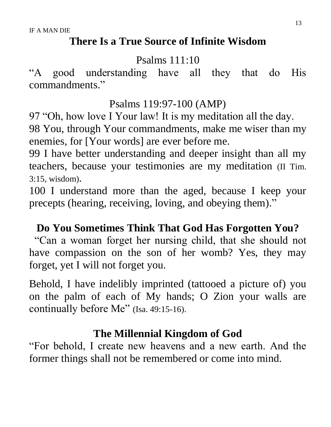#### **There Is a True Source of Infinite Wisdom**

Psalms 111:10

"A good understanding have all they that do His commandments."

Psalms 119:97-100 (AMP)

97 "Oh, how love I Your law! It is my meditation all the day.

98 You, through Your commandments, make me wiser than my enemies, for [Your words] are ever before me.

99 I have better understanding and deeper insight than all my teachers, because your testimonies are my meditation (II Tim. 3:15, wisdom).

100 I understand more than the aged, because I keep your precepts (hearing, receiving, loving, and obeying them)."

#### **Do You Sometimes Think That God Has Forgotten You?**

"Can a woman forget her nursing child, that she should not have compassion on the son of her womb? Yes, they may forget, yet I will not forget you.

Behold, I have indelibly imprinted (tattooed a picture of) you on the palm of each of My hands; O Zion your walls are continually before Me" (Isa. 49:15-16).

#### **The Millennial Kingdom of God**

"For behold, I create new heavens and a new earth. And the former things shall not be remembered or come into mind.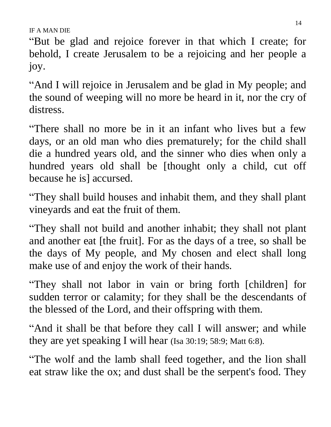"But be glad and rejoice forever in that which I create; for behold, I create Jerusalem to be a rejoicing and her people a joy.

"And I will rejoice in Jerusalem and be glad in My people; and the sound of weeping will no more be heard in it, nor the cry of distress.

"There shall no more be in it an infant who lives but a few days, or an old man who dies prematurely; for the child shall die a hundred years old, and the sinner who dies when only a hundred years old shall be [thought only a child, cut off because he is] accursed.

"They shall build houses and inhabit them, and they shall plant vineyards and eat the fruit of them.

"They shall not build and another inhabit; they shall not plant and another eat [the fruit]. For as the days of a tree, so shall be the days of My people, and My chosen and elect shall long make use of and enjoy the work of their hands.

"They shall not labor in vain or bring forth [children] for sudden terror or calamity; for they shall be the descendants of the blessed of the Lord, and their offspring with them.

"And it shall be that before they call I will answer; and while they are yet speaking I will hear (Isa 30:19; 58:9; Matt 6:8).

"The wolf and the lamb shall feed together, and the lion shall eat straw like the ox; and dust shall be the serpent's food. They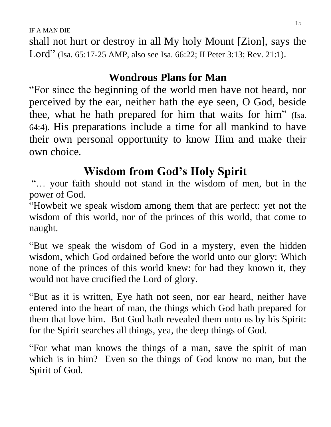shall not hurt or destroy in all My holy Mount [Zion], says the Lord" (Isa. 65:17-25 AMP, also see Isa. 66:22; II Peter 3:13; Rev. 21:1).

# **Wondrous Plans for Man**

"For since the beginning of the world men have not heard, nor perceived by the ear, neither hath the eye seen, O God, beside thee, what he hath prepared for him that waits for him" (Isa. 64:4). His preparations include a time for all mankind to have their own personal opportunity to know Him and make their own choice.

# **Wisdom from God's Holy Spirit**

"… your faith should not stand in the wisdom of men, but in the power of God.

"Howbeit we speak wisdom among them that are perfect: yet not the wisdom of this world, nor of the princes of this world, that come to naught.

"But we speak the wisdom of God in a mystery, even the hidden wisdom, which God ordained before the world unto our glory: Which none of the princes of this world knew: for had they known it, they would not have crucified the Lord of glory.

"But as it is written, Eye hath not seen, nor ear heard, neither have entered into the heart of man, the things which God hath prepared for them that love him. But God hath revealed them unto us by his Spirit: for the Spirit searches all things, yea, the deep things of God.

"For what man knows the things of a man, save the spirit of man which is in him? Even so the things of God know no man, but the Spirit of God.